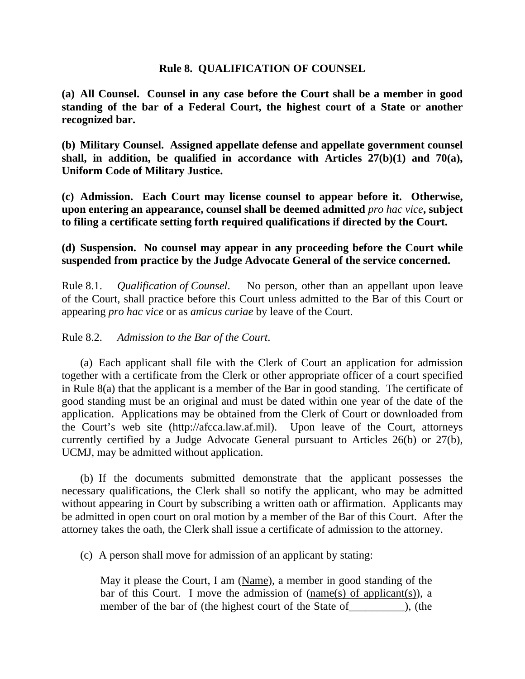## **Rule 8. QUALIFICATION OF COUNSEL**

**(a) All Counsel. Counsel in any case before the Court shall be a member in good standing of the bar of a Federal Court, the highest court of a State or another recognized bar.** 

**(b) Military Counsel. Assigned appellate defense and appellate government counsel shall, in addition, be qualified in accordance with Articles 27(b)(1) and 70(a), Uniform Code of Military Justice.** 

**(c) Admission. Each Court may license counsel to appear before it. Otherwise, upon entering an appearance, counsel shall be deemed admitted** *pro hac vice***, subject to filing a certificate setting forth required qualifications if directed by the Court.** 

## **(d) Suspension. No counsel may appear in any proceeding before the Court while suspended from practice by the Judge Advocate General of the service concerned.**

Rule 8.1. *Qualification of Counsel*. No person, other than an appellant upon leave of the Court, shall practice before this Court unless admitted to the Bar of this Court or appearing *pro hac vice* or as *amicus curiae* by leave of the Court.

## Rule 8.2. *Admission to the Bar of the Court*.

 (a) Each applicant shall file with the Clerk of Court an application for admission together with a certificate from the Clerk or other appropriate officer of a court specified in Rule 8(a) that the applicant is a member of the Bar in good standing. The certificate of good standing must be an original and must be dated within one year of the date of the application. Applications may be obtained from the Clerk of Court or downloaded from the Court's web site (http://afcca.law.af.mil). Upon leave of the Court, attorneys currently certified by a Judge Advocate General pursuant to Articles 26(b) or 27(b), UCMJ, may be admitted without application.

 (b) If the documents submitted demonstrate that the applicant possesses the necessary qualifications, the Clerk shall so notify the applicant, who may be admitted without appearing in Court by subscribing a written oath or affirmation. Applicants may be admitted in open court on oral motion by a member of the Bar of this Court. After the attorney takes the oath, the Clerk shall issue a certificate of admission to the attorney.

(c) A person shall move for admission of an applicant by stating:

May it please the Court, I am (Name), a member in good standing of the bar of this Court. I move the admission of (name(s) of applicant(s)), a member of the bar of (the highest court of the State of ), (the